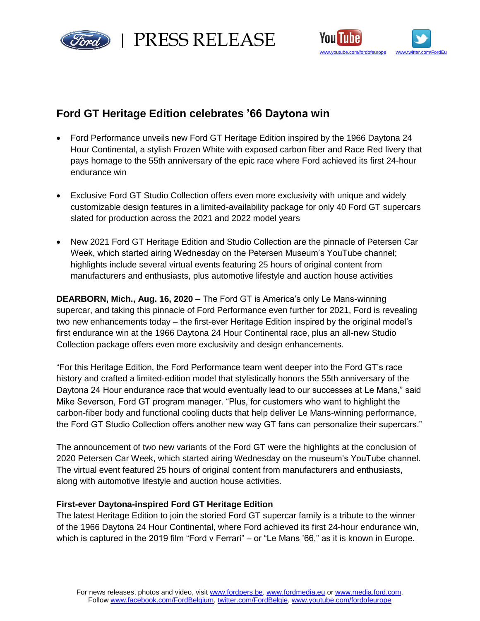

red | PRESS RELEASE



# **Ford GT Heritage Edition celebrates '66 Daytona win**

- Ford Performance unveils new Ford GT Heritage Edition inspired by the 1966 Daytona 24 Hour Continental, a stylish Frozen White with exposed carbon fiber and Race Red livery that pays homage to the 55th anniversary of the epic race where Ford achieved its first 24-hour endurance win
- Exclusive Ford GT Studio Collection offers even more exclusivity with unique and widely customizable design features in a limited-availability package for only 40 Ford GT supercars slated for production across the 2021 and 2022 model years
- New 2021 Ford GT Heritage Edition and Studio Collection are the pinnacle of Petersen Car Week, which started airing Wednesday on the Petersen Museum's YouTube channel; highlights include several virtual events featuring 25 hours of original content from manufacturers and enthusiasts, plus automotive lifestyle and auction house activities

**DEARBORN, Mich., Aug. 16, 2020** – The Ford GT is America's only Le Mans-winning supercar, and taking this pinnacle of Ford Performance even further for 2021, Ford is revealing two new enhancements today – the first-ever Heritage Edition inspired by the original model's first endurance win at the 1966 Daytona 24 Hour Continental race, plus an all-new Studio Collection package offers even more exclusivity and design enhancements.

"For this Heritage Edition, the Ford Performance team went deeper into the Ford GT's race history and crafted a limited-edition model that stylistically honors the 55th anniversary of the Daytona 24 Hour endurance race that would eventually lead to our successes at Le Mans," said Mike Severson, Ford GT program manager. "Plus, for customers who want to highlight the carbon-fiber body and functional cooling ducts that help deliver Le Mans-winning performance, the Ford GT Studio Collection offers another new way GT fans can personalize their supercars."

The announcement of two new variants of the Ford GT were the highlights at the conclusion of 2020 Petersen Car Week, which started airing Wednesday on the museum's YouTube channel. The virtual event featured 25 hours of original content from manufacturers and enthusiasts, along with automotive lifestyle and auction house activities.

## **First-ever Daytona-inspired Ford GT Heritage Edition**

The latest Heritage Edition to join the storied Ford GT supercar family is a tribute to the winner of the 1966 Daytona 24 Hour Continental, where Ford achieved its first 24-hour endurance win, which is captured in the 2019 film "Ford v Ferrari" – or "Le Mans '66," as it is known in Europe.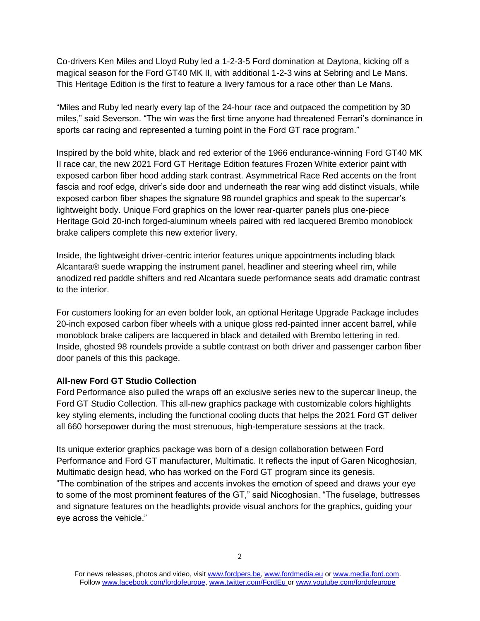Co-drivers Ken Miles and Lloyd Ruby led a 1-2-3-5 Ford domination at Daytona, kicking off a magical season for the Ford GT40 MK II, with additional 1-2-3 wins at Sebring and Le Mans. This Heritage Edition is the first to feature a livery famous for a race other than Le Mans.

"Miles and Ruby led nearly every lap of the 24-hour race and outpaced the competition by 30 miles," said Severson. "The win was the first time anyone had threatened Ferrari's dominance in sports car racing and represented a turning point in the Ford GT race program."

Inspired by the bold white, black and red exterior of the 1966 endurance-winning Ford GT40 MK II race car, the new 2021 Ford GT Heritage Edition features Frozen White exterior paint with exposed carbon fiber hood adding stark contrast. Asymmetrical Race Red accents on the front fascia and roof edge, driver's side door and underneath the rear wing add distinct visuals, while exposed carbon fiber shapes the signature 98 roundel graphics and speak to the supercar's lightweight body. Unique Ford graphics on the lower rear-quarter panels plus one-piece Heritage Gold 20-inch forged-aluminum wheels paired with red lacquered Brembo monoblock brake calipers complete this new exterior livery.

Inside, the lightweight driver-centric interior features unique appointments including black Alcantara® suede wrapping the instrument panel, headliner and steering wheel rim, while anodized red paddle shifters and red Alcantara suede performance seats add dramatic contrast to the interior.

For customers looking for an even bolder look, an optional Heritage Upgrade Package includes 20-inch exposed carbon fiber wheels with a unique gloss red-painted inner accent barrel, while monoblock brake calipers are lacquered in black and detailed with Brembo lettering in red. Inside, ghosted 98 roundels provide a subtle contrast on both driver and passenger carbon fiber door panels of this this package.

### **All-new Ford GT Studio Collection**

Ford Performance also pulled the wraps off an exclusive series new to the supercar lineup, the Ford GT Studio Collection. This all-new graphics package with customizable colors highlights key styling elements, including the functional cooling ducts that helps the 2021 Ford GT deliver all 660 horsepower during the most strenuous, high-temperature sessions at the track.

Its unique exterior graphics package was born of a design collaboration between Ford Performance and Ford GT manufacturer, Multimatic. It reflects the input of Garen Nicoghosian, Multimatic design head, who has worked on the Ford GT program since its genesis. "The combination of the stripes and accents invokes the emotion of speed and draws your eye to some of the most prominent features of the GT," said Nicoghosian. "The fuselage, buttresses and signature features on the headlights provide visual anchors for the graphics, guiding your eye across the vehicle."

For news releases, photos and video, visit [www.fordpers.be,](http://www.fordpers.be/) [www.fordmedia.eu](http://www.fordmedia.eu/) or [www.media.ford.com.](http://www.media.ford.com/) Follo[w www.facebook.com/fordofeurope,](http://www.facebook.com/fordofeurope) [www.twitter.com/FordEu](http://www.twitter.com/FordEu) o[r www.youtube.com/fordofeurope](http://www.youtube.com/fordofeurope)